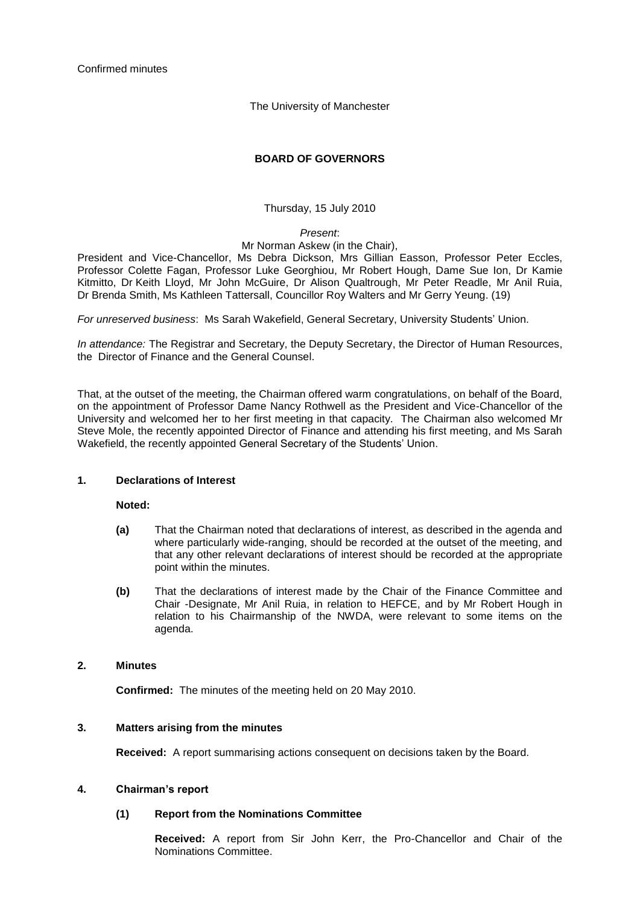The University of Manchester

## **BOARD OF GOVERNORS**

Thursday, 15 July 2010

### *Present*:

Mr Norman Askew (in the Chair),

President and Vice-Chancellor, Ms Debra Dickson, Mrs Gillian Easson, Professor Peter Eccles, Professor Colette Fagan, Professor Luke Georghiou, Mr Robert Hough, Dame Sue Ion, Dr Kamie Kitmitto, Dr Keith Lloyd, Mr John McGuire, Dr Alison Qualtrough, Mr Peter Readle, Mr Anil Ruia, Dr Brenda Smith, Ms Kathleen Tattersall, Councillor Roy Walters and Mr Gerry Yeung. (19)

*For unreserved business*: Ms Sarah Wakefield, General Secretary, University Students" Union.

*In attendance:* The Registrar and Secretary, the Deputy Secretary, the Director of Human Resources, the Director of Finance and the General Counsel.

That, at the outset of the meeting, the Chairman offered warm congratulations, on behalf of the Board, on the appointment of Professor Dame Nancy Rothwell as the President and Vice-Chancellor of the University and welcomed her to her first meeting in that capacity. The Chairman also welcomed Mr Steve Mole, the recently appointed Director of Finance and attending his first meeting, and Ms Sarah Wakefield, the recently appointed General Secretary of the Students' Union.

#### **1. Declarations of Interest**

**Noted:** 

- **(a)** That the Chairman noted that declarations of interest, as described in the agenda and where particularly wide-ranging, should be recorded at the outset of the meeting, and that any other relevant declarations of interest should be recorded at the appropriate point within the minutes.
- **(b)** That the declarations of interest made by the Chair of the Finance Committee and Chair -Designate, Mr Anil Ruia, in relation to HEFCE, and by Mr Robert Hough in relation to his Chairmanship of the NWDA, were relevant to some items on the agenda.

#### **2. Minutes**

**Confirmed:** The minutes of the meeting held on 20 May 2010.

#### **3. Matters arising from the minutes**

**Received:** A report summarising actions consequent on decisions taken by the Board.

#### **4. Chairman's report**

#### **(1) Report from the Nominations Committee**

**Received:** A report from Sir John Kerr, the Pro-Chancellor and Chair of the Nominations Committee.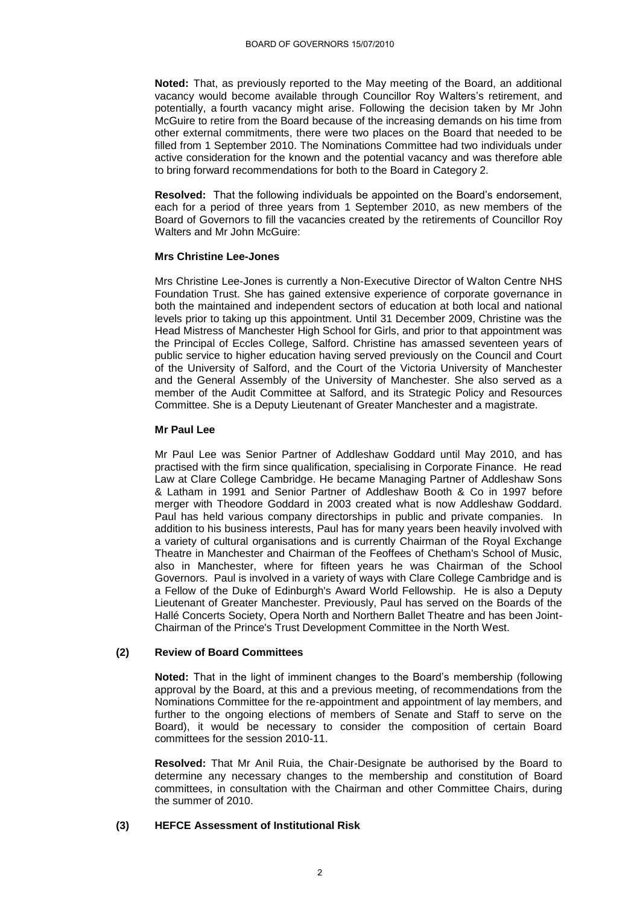**Noted:** That, as previously reported to the May meeting of the Board, an additional vacancy would become available through Councillor Roy Walters"s retirement, and potentially, a fourth vacancy might arise. Following the decision taken by Mr John McGuire to retire from the Board because of the increasing demands on his time from other external commitments, there were two places on the Board that needed to be filled from 1 September 2010. The Nominations Committee had two individuals under active consideration for the known and the potential vacancy and was therefore able to bring forward recommendations for both to the Board in Category 2.

**Resolved:** That the following individuals be appointed on the Board"s endorsement, each for a period of three years from 1 September 2010, as new members of the Board of Governors to fill the vacancies created by the retirements of Councillor Roy Walters and Mr John McGuire:

#### **Mrs Christine Lee-Jones**

Mrs Christine Lee-Jones is currently a Non-Executive Director of Walton Centre NHS Foundation Trust. She has gained extensive experience of corporate governance in both the maintained and independent sectors of education at both local and national levels prior to taking up this appointment. Until 31 December 2009, Christine was the Head Mistress of Manchester High School for Girls, and prior to that appointment was the Principal of Eccles College, Salford. Christine has amassed seventeen years of public service to higher education having served previously on the Council and Court of the University of Salford, and the Court of the Victoria University of Manchester and the General Assembly of the University of Manchester. She also served as a member of the Audit Committee at Salford, and its Strategic Policy and Resources Committee. She is a Deputy Lieutenant of Greater Manchester and a magistrate.

#### **Mr Paul Lee**

Mr Paul Lee was Senior Partner of Addleshaw Goddard until May 2010, and has practised with the firm since qualification, specialising in Corporate Finance. He read Law at Clare College Cambridge. He became Managing Partner of Addleshaw Sons & Latham in 1991 and Senior Partner of Addleshaw Booth & Co in 1997 before merger with Theodore Goddard in 2003 created what is now Addleshaw Goddard. Paul has held various company directorships in public and private companies. In addition to his business interests, Paul has for many years been heavily involved with a variety of cultural organisations and is currently Chairman of the Royal Exchange Theatre in Manchester and Chairman of the Feoffees of Chetham's School of Music, also in Manchester, where for fifteen years he was Chairman of the School Governors. Paul is involved in a variety of ways with Clare College Cambridge and is a Fellow of the Duke of Edinburgh's Award World Fellowship. He is also a Deputy Lieutenant of Greater Manchester. Previously, Paul has served on the Boards of the Hallé Concerts Society, Opera North and Northern Ballet Theatre and has been Joint-Chairman of the Prince's Trust Development Committee in the North West.

## **(2) Review of Board Committees**

**Noted:** That in the light of imminent changes to the Board"s membership (following approval by the Board, at this and a previous meeting, of recommendations from the Nominations Committee for the re-appointment and appointment of lay members, and further to the ongoing elections of members of Senate and Staff to serve on the Board), it would be necessary to consider the composition of certain Board committees for the session 2010-11.

**Resolved:** That Mr Anil Ruia, the Chair-Designate be authorised by the Board to determine any necessary changes to the membership and constitution of Board committees, in consultation with the Chairman and other Committee Chairs, during the summer of 2010.

## **(3) HEFCE Assessment of Institutional Risk**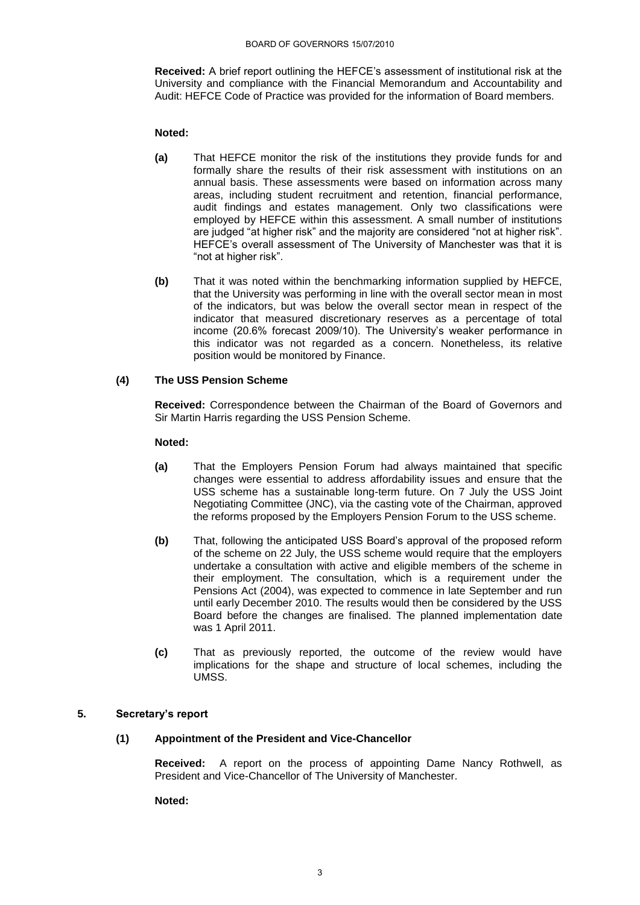**Received:** A brief report outlining the HEFCE"s assessment of institutional risk at the University and compliance with the Financial Memorandum and Accountability and Audit: HEFCE Code of Practice was provided for the information of Board members.

## **Noted:**

- **(a)** That HEFCE monitor the risk of the institutions they provide funds for and formally share the results of their risk assessment with institutions on an annual basis. These assessments were based on information across many areas, including student recruitment and retention, financial performance, audit findings and estates management. Only two classifications were employed by HEFCE within this assessment. A small number of institutions are judged "at higher risk" and the majority are considered "not at higher risk". HEFCE"s overall assessment of The University of Manchester was that it is "not at higher risk".
- **(b)** That it was noted within the benchmarking information supplied by HEFCE, that the University was performing in line with the overall sector mean in most of the indicators, but was below the overall sector mean in respect of the indicator that measured discretionary reserves as a percentage of total income (20.6% forecast 2009/10). The University's weaker performance in this indicator was not regarded as a concern. Nonetheless, its relative position would be monitored by Finance.

## **(4) The USS Pension Scheme**

**Received:** Correspondence between the Chairman of the Board of Governors and Sir Martin Harris regarding the USS Pension Scheme.

## **Noted:**

- **(a)** That the Employers Pension Forum had always maintained that specific changes were essential to address affordability issues and ensure that the USS scheme has a sustainable long-term future. On 7 July the USS Joint Negotiating Committee (JNC), via the casting vote of the Chairman, approved the reforms proposed by the Employers Pension Forum to the USS scheme.
- **(b)** That, following the anticipated USS Board"s approval of the proposed reform of the scheme on 22 July, the USS scheme would require that the employers undertake a consultation with active and eligible members of the scheme in their employment. The consultation, which is a requirement under the Pensions Act (2004), was expected to commence in late September and run until early December 2010. The results would then be considered by the USS Board before the changes are finalised. The planned implementation date was 1 April 2011.
- **(c)** That as previously reported, the outcome of the review would have implications for the shape and structure of local schemes, including the UMSS.

## **5. Secretary's report**

## **(1) Appointment of the President and Vice-Chancellor**

**Received:** A report on the process of appointing Dame Nancy Rothwell, as President and Vice-Chancellor of The University of Manchester.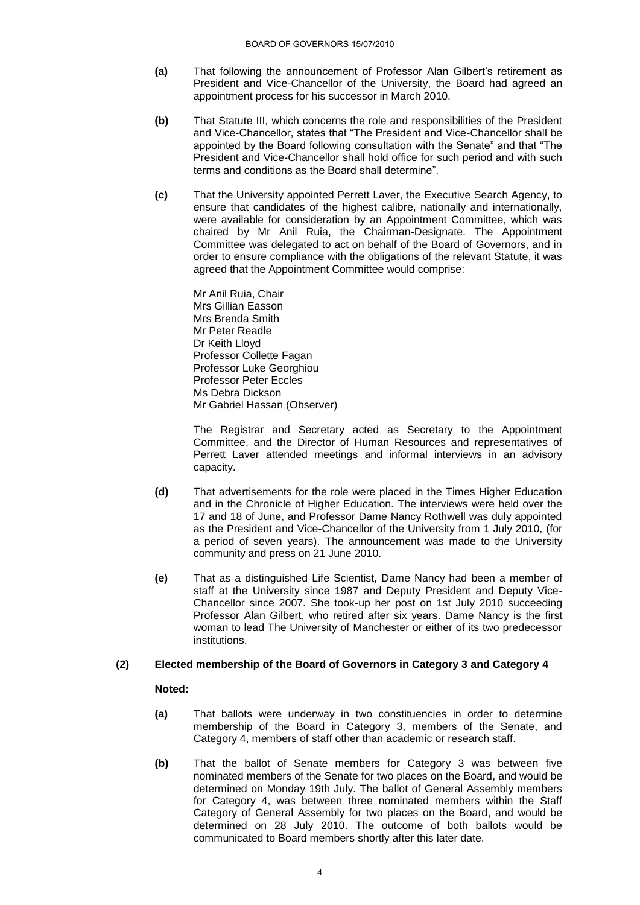- **(a)** That following the announcement of Professor Alan Gilbert"s retirement as President and Vice-Chancellor of the University, the Board had agreed an appointment process for his successor in March 2010.
- **(b)** That Statute III, which concerns the role and responsibilities of the President and Vice-Chancellor, states that "The President and Vice-Chancellor shall be appointed by the Board following consultation with the Senate" and that "The President and Vice-Chancellor shall hold office for such period and with such terms and conditions as the Board shall determine".
- **(c)** That the University appointed Perrett Laver, the Executive Search Agency, to ensure that candidates of the highest calibre, nationally and internationally, were available for consideration by an Appointment Committee, which was chaired by Mr Anil Ruia, the Chairman-Designate. The Appointment Committee was delegated to act on behalf of the Board of Governors, and in order to ensure compliance with the obligations of the relevant Statute, it was agreed that the Appointment Committee would comprise:

Mr Anil Ruia, Chair Mrs Gillian Easson Mrs Brenda Smith Mr Peter Readle Dr Keith Lloyd Professor Collette Fagan Professor Luke Georghiou Professor Peter Eccles Ms Debra Dickson Mr Gabriel Hassan (Observer)

The Registrar and Secretary acted as Secretary to the Appointment Committee, and the Director of Human Resources and representatives of Perrett Laver attended meetings and informal interviews in an advisory capacity.

- **(d)** That advertisements for the role were placed in the Times Higher Education and in the Chronicle of Higher Education. The interviews were held over the 17 and 18 of June, and Professor Dame Nancy Rothwell was duly appointed as the President and Vice-Chancellor of the University from 1 July 2010, (for a period of seven years). The announcement was made to the University community and press on 21 June 2010.
- **(e)** That as a distinguished Life Scientist, Dame Nancy had been a member of staff at the University since 1987 and Deputy President and Deputy Vice-Chancellor since 2007. She took-up her post on 1st July 2010 succeeding Professor Alan Gilbert, who retired after six years. Dame Nancy is the first woman to lead The University of Manchester or either of its two predecessor institutions.

## **(2) Elected membership of the Board of Governors in Category 3 and Category 4**

- **(a)** That ballots were underway in two constituencies in order to determine membership of the Board in Category 3, members of the Senate, and Category 4, members of staff other than academic or research staff.
- **(b)** That the ballot of Senate members for Category 3 was between five nominated members of the Senate for two places on the Board, and would be determined on Monday 19th July. The ballot of General Assembly members for Category 4, was between three nominated members within the Staff Category of General Assembly for two places on the Board, and would be determined on 28 July 2010. The outcome of both ballots would be communicated to Board members shortly after this later date.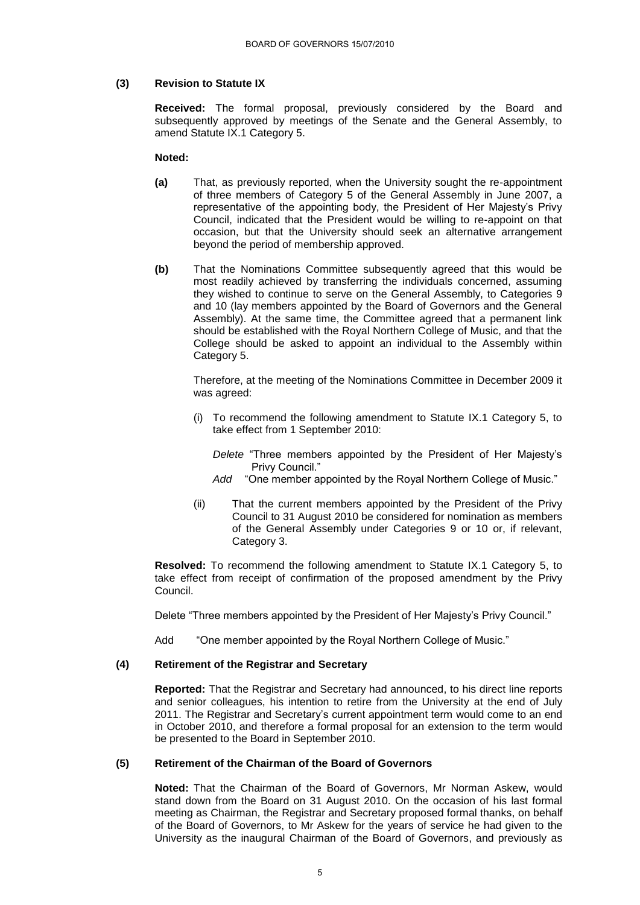## **(3) Revision to Statute IX**

**Received:** The formal proposal, previously considered by the Board and subsequently approved by meetings of the Senate and the General Assembly, to amend Statute IX.1 Category 5.

#### **Noted:**

- **(a)** That, as previously reported, when the University sought the re-appointment of three members of Category 5 of the General Assembly in June 2007, a representative of the appointing body, the President of Her Majesty"s Privy Council, indicated that the President would be willing to re-appoint on that occasion, but that the University should seek an alternative arrangement beyond the period of membership approved.
- **(b)** That the Nominations Committee subsequently agreed that this would be most readily achieved by transferring the individuals concerned, assuming they wished to continue to serve on the General Assembly, to Categories 9 and 10 (lay members appointed by the Board of Governors and the General Assembly). At the same time, the Committee agreed that a permanent link should be established with the Royal Northern College of Music, and that the College should be asked to appoint an individual to the Assembly within Category 5.

Therefore, at the meeting of the Nominations Committee in December 2009 it was agreed:

- (i) To recommend the following amendment to Statute IX.1 Category 5, to take effect from 1 September 2010:
	- *Delete* "Three members appointed by the President of Her Majesty"s Privy Council."
	- *Add* "One member appointed by the Royal Northern College of Music."
- (ii) That the current members appointed by the President of the Privy Council to 31 August 2010 be considered for nomination as members of the General Assembly under Categories 9 or 10 or, if relevant, Category 3.

**Resolved:** To recommend the following amendment to Statute IX.1 Category 5, to take effect from receipt of confirmation of the proposed amendment by the Privy Council.

Delete "Three members appointed by the President of Her Majesty"s Privy Council."

Add "One member appointed by the Royal Northern College of Music."

## **(4) Retirement of the Registrar and Secretary**

**Reported:** That the Registrar and Secretary had announced, to his direct line reports and senior colleagues, his intention to retire from the University at the end of July 2011. The Registrar and Secretary"s current appointment term would come to an end in October 2010, and therefore a formal proposal for an extension to the term would be presented to the Board in September 2010.

#### **(5) Retirement of the Chairman of the Board of Governors**

**Noted:** That the Chairman of the Board of Governors, Mr Norman Askew, would stand down from the Board on 31 August 2010. On the occasion of his last formal meeting as Chairman, the Registrar and Secretary proposed formal thanks, on behalf of the Board of Governors, to Mr Askew for the years of service he had given to the University as the inaugural Chairman of the Board of Governors, and previously as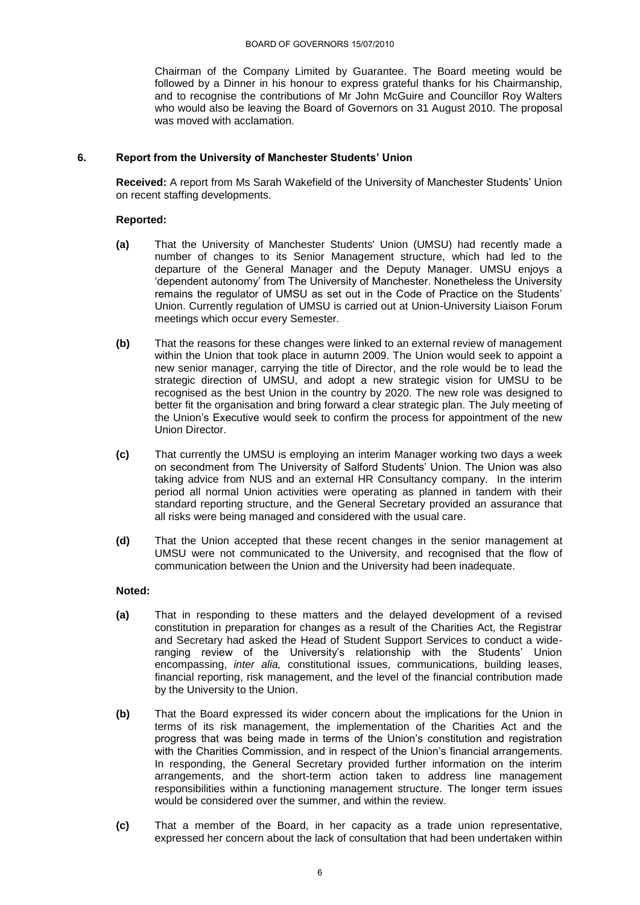Chairman of the Company Limited by Guarantee. The Board meeting would be followed by a Dinner in his honour to express grateful thanks for his Chairmanship, and to recognise the contributions of Mr John McGuire and Councillor Roy Walters who would also be leaving the Board of Governors on 31 August 2010. The proposal was moved with acclamation.

## **6. Report from the University of Manchester Students' Union**

**Received:** A report from Ms Sarah Wakefield of the University of Manchester Students" Union on recent staffing developments.

#### **Reported:**

- **(a)** That the University of Manchester Students' Union (UMSU) had recently made a number of changes to its Senior Management structure, which had led to the departure of the General Manager and the Deputy Manager. UMSU enjoys a "dependent autonomy" from The University of Manchester. Nonetheless the University remains the regulator of UMSU as set out in the Code of Practice on the Students" Union. Currently regulation of UMSU is carried out at Union-University Liaison Forum meetings which occur every Semester.
- **(b)** That the reasons for these changes were linked to an external review of management within the Union that took place in autumn 2009. The Union would seek to appoint a new senior manager, carrying the title of Director, and the role would be to lead the strategic direction of UMSU, and adopt a new strategic vision for UMSU to be recognised as the best Union in the country by 2020. The new role was designed to better fit the organisation and bring forward a clear strategic plan. The July meeting of the Union"s Executive would seek to confirm the process for appointment of the new Union Director.
- **(c)** That currently the UMSU is employing an interim Manager working two days a week on secondment from The University of Salford Students" Union. The Union was also taking advice from NUS and an external HR Consultancy company. In the interim period all normal Union activities were operating as planned in tandem with their standard reporting structure, and the General Secretary provided an assurance that all risks were being managed and considered with the usual care.
- **(d)** That the Union accepted that these recent changes in the senior management at UMSU were not communicated to the University, and recognised that the flow of communication between the Union and the University had been inadequate.

- **(a)** That in responding to these matters and the delayed development of a revised constitution in preparation for changes as a result of the Charities Act, the Registrar and Secretary had asked the Head of Student Support Services to conduct a wideranging review of the University's relationship with the Students' Union encompassing, *inter alia,* constitutional issues, communications, building leases, financial reporting, risk management, and the level of the financial contribution made by the University to the Union.
- **(b)** That the Board expressed its wider concern about the implications for the Union in terms of its risk management, the implementation of the Charities Act and the progress that was being made in terms of the Union"s constitution and registration with the Charities Commission, and in respect of the Union's financial arrangements. In responding, the General Secretary provided further information on the interim arrangements, and the short-term action taken to address line management responsibilities within a functioning management structure. The longer term issues would be considered over the summer, and within the review.
- **(c)** That a member of the Board, in her capacity as a trade union representative, expressed her concern about the lack of consultation that had been undertaken within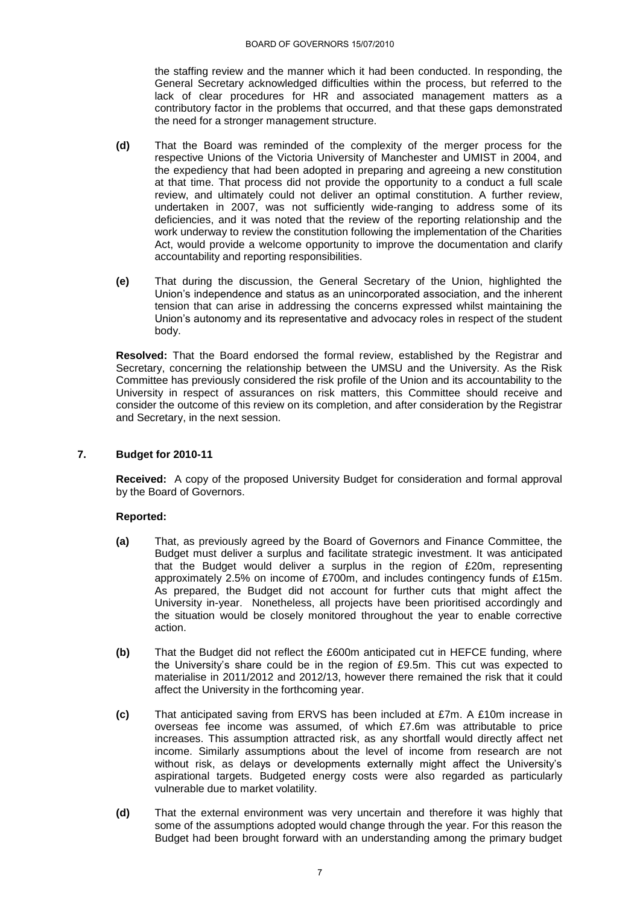the staffing review and the manner which it had been conducted. In responding, the General Secretary acknowledged difficulties within the process, but referred to the lack of clear procedures for HR and associated management matters as a contributory factor in the problems that occurred, and that these gaps demonstrated the need for a stronger management structure.

- **(d)** That the Board was reminded of the complexity of the merger process for the respective Unions of the Victoria University of Manchester and UMIST in 2004, and the expediency that had been adopted in preparing and agreeing a new constitution at that time. That process did not provide the opportunity to a conduct a full scale review, and ultimately could not deliver an optimal constitution. A further review, undertaken in 2007, was not sufficiently wide-ranging to address some of its deficiencies, and it was noted that the review of the reporting relationship and the work underway to review the constitution following the implementation of the Charities Act, would provide a welcome opportunity to improve the documentation and clarify accountability and reporting responsibilities.
- **(e)** That during the discussion, the General Secretary of the Union, highlighted the Union"s independence and status as an unincorporated association, and the inherent tension that can arise in addressing the concerns expressed whilst maintaining the Union"s autonomy and its representative and advocacy roles in respect of the student body.

**Resolved:** That the Board endorsed the formal review, established by the Registrar and Secretary, concerning the relationship between the UMSU and the University. As the Risk Committee has previously considered the risk profile of the Union and its accountability to the University in respect of assurances on risk matters, this Committee should receive and consider the outcome of this review on its completion, and after consideration by the Registrar and Secretary, in the next session.

## **7. Budget for 2010-11**

**Received:** A copy of the proposed University Budget for consideration and formal approval by the Board of Governors.

- **(a)** That, as previously agreed by the Board of Governors and Finance Committee, the Budget must deliver a surplus and facilitate strategic investment. It was anticipated that the Budget would deliver a surplus in the region of £20m, representing approximately 2.5% on income of £700m, and includes contingency funds of £15m. As prepared, the Budget did not account for further cuts that might affect the University in-year. Nonetheless, all projects have been prioritised accordingly and the situation would be closely monitored throughout the year to enable corrective action.
- **(b)** That the Budget did not reflect the £600m anticipated cut in HEFCE funding, where the University"s share could be in the region of £9.5m. This cut was expected to materialise in 2011/2012 and 2012/13, however there remained the risk that it could affect the University in the forthcoming year.
- **(c)** That anticipated saving from ERVS has been included at £7m. A £10m increase in overseas fee income was assumed, of which £7.6m was attributable to price increases. This assumption attracted risk, as any shortfall would directly affect net income. Similarly assumptions about the level of income from research are not without risk, as delays or developments externally might affect the University's aspirational targets. Budgeted energy costs were also regarded as particularly vulnerable due to market volatility.
- **(d)** That the external environment was very uncertain and therefore it was highly that some of the assumptions adopted would change through the year. For this reason the Budget had been brought forward with an understanding among the primary budget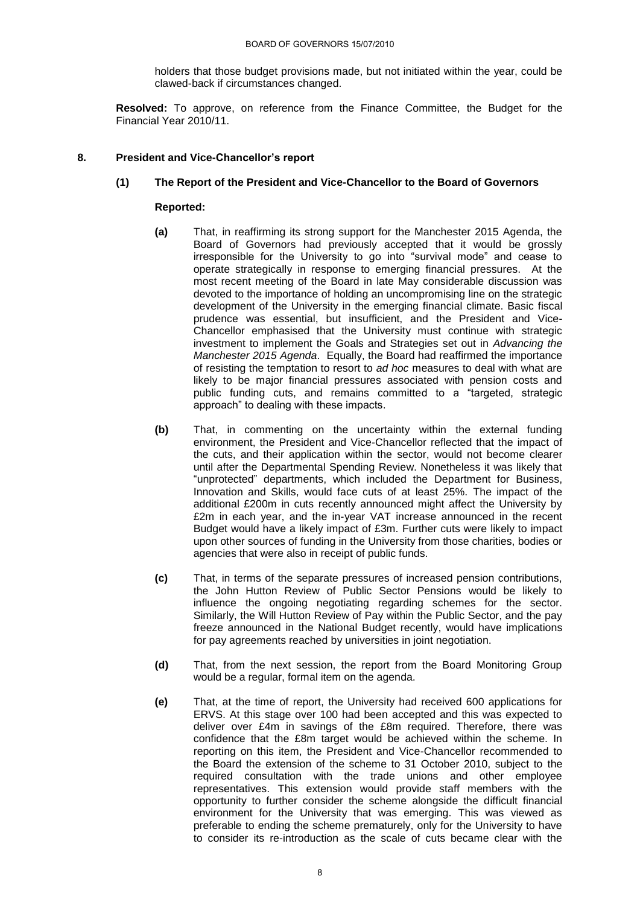holders that those budget provisions made, but not initiated within the year, could be clawed-back if circumstances changed.

**Resolved:** To approve, on reference from the Finance Committee, the Budget for the Financial Year 2010/11.

## **8. President and Vice-Chancellor's report**

## **(1) The Report of the President and Vice-Chancellor to the Board of Governors**

- **(a)** That, in reaffirming its strong support for the Manchester 2015 Agenda, the Board of Governors had previously accepted that it would be grossly irresponsible for the University to go into "survival mode" and cease to operate strategically in response to emerging financial pressures. At the most recent meeting of the Board in late May considerable discussion was devoted to the importance of holding an uncompromising line on the strategic development of the University in the emerging financial climate. Basic fiscal prudence was essential, but insufficient, and the President and Vice-Chancellor emphasised that the University must continue with strategic investment to implement the Goals and Strategies set out in *Advancing the Manchester 2015 Agenda*. Equally, the Board had reaffirmed the importance of resisting the temptation to resort to *ad hoc* measures to deal with what are likely to be major financial pressures associated with pension costs and public funding cuts, and remains committed to a "targeted, strategic approach" to dealing with these impacts.
- **(b)** That, in commenting on the uncertainty within the external funding environment, the President and Vice-Chancellor reflected that the impact of the cuts, and their application within the sector, would not become clearer until after the Departmental Spending Review. Nonetheless it was likely that "unprotected" departments, which included the Department for Business, Innovation and Skills, would face cuts of at least 25%. The impact of the additional £200m in cuts recently announced might affect the University by £2m in each year, and the in-year VAT increase announced in the recent Budget would have a likely impact of £3m. Further cuts were likely to impact upon other sources of funding in the University from those charities, bodies or agencies that were also in receipt of public funds.
- **(c)** That, in terms of the separate pressures of increased pension contributions, the John Hutton Review of Public Sector Pensions would be likely to influence the ongoing negotiating regarding schemes for the sector. Similarly, the Will Hutton Review of Pay within the Public Sector, and the pay freeze announced in the National Budget recently, would have implications for pay agreements reached by universities in joint negotiation.
- **(d)** That, from the next session, the report from the Board Monitoring Group would be a regular, formal item on the agenda.
- **(e)** That, at the time of report, the University had received 600 applications for ERVS. At this stage over 100 had been accepted and this was expected to deliver over £4m in savings of the £8m required. Therefore, there was confidence that the £8m target would be achieved within the scheme. In reporting on this item, the President and Vice-Chancellor recommended to the Board the extension of the scheme to 31 October 2010, subject to the required consultation with the trade unions and other employee representatives. This extension would provide staff members with the opportunity to further consider the scheme alongside the difficult financial environment for the University that was emerging. This was viewed as preferable to ending the scheme prematurely, only for the University to have to consider its re-introduction as the scale of cuts became clear with the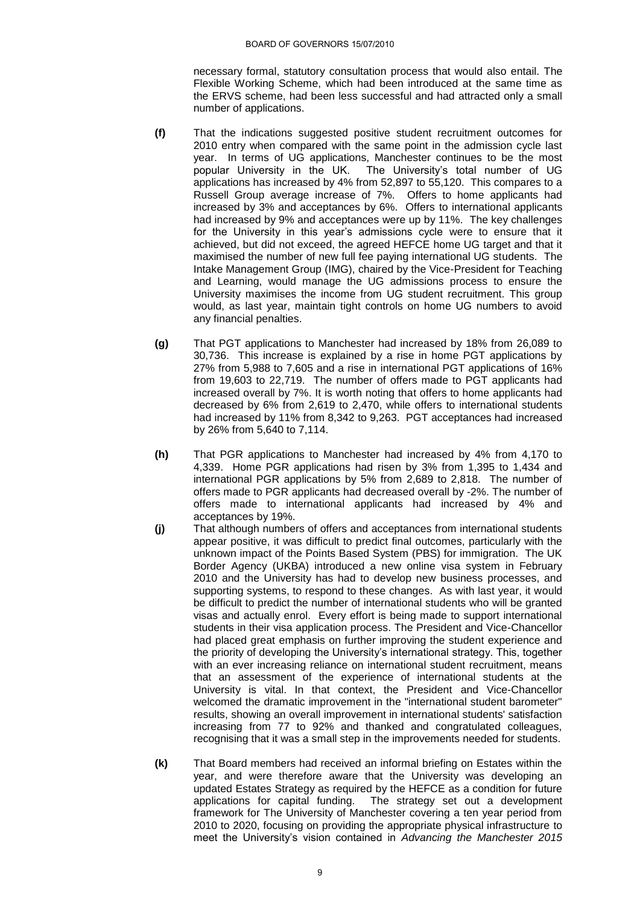necessary formal, statutory consultation process that would also entail. The Flexible Working Scheme, which had been introduced at the same time as the ERVS scheme, had been less successful and had attracted only a small number of applications.

- **(f)** That the indications suggested positive student recruitment outcomes for 2010 entry when compared with the same point in the admission cycle last year. In terms of UG applications, Manchester continues to be the most popular University in the UK. The University's total number of UG The University's total number of UG. applications has increased by 4% from 52,897 to 55,120. This compares to a Russell Group average increase of 7%. Offers to home applicants had increased by 3% and acceptances by 6%. Offers to international applicants had increased by 9% and acceptances were up by 11%. The key challenges for the University in this year"s admissions cycle were to ensure that it achieved, but did not exceed, the agreed HEFCE home UG target and that it maximised the number of new full fee paying international UG students. The Intake Management Group (IMG), chaired by the Vice-President for Teaching and Learning, would manage the UG admissions process to ensure the University maximises the income from UG student recruitment. This group would, as last year, maintain tight controls on home UG numbers to avoid any financial penalties.
- **(g)** That PGT applications to Manchester had increased by 18% from 26,089 to 30,736. This increase is explained by a rise in home PGT applications by 27% from 5,988 to 7,605 and a rise in international PGT applications of 16% from 19,603 to 22,719. The number of offers made to PGT applicants had increased overall by 7%. It is worth noting that offers to home applicants had decreased by 6% from 2,619 to 2,470, while offers to international students had increased by 11% from 8,342 to 9,263. PGT acceptances had increased by 26% from 5,640 to 7,114.
- **(h)** That PGR applications to Manchester had increased by 4% from 4,170 to 4,339. Home PGR applications had risen by 3% from 1,395 to 1,434 and international PGR applications by 5% from 2,689 to 2,818. The number of offers made to PGR applicants had decreased overall by -2%. The number of offers made to international applicants had increased by 4% and acceptances by 19%.
- **(j)** That although numbers of offers and acceptances from international students appear positive, it was difficult to predict final outcomes, particularly with the unknown impact of the Points Based System (PBS) for immigration. The UK Border Agency (UKBA) introduced a new online visa system in February 2010 and the University has had to develop new business processes, and supporting systems, to respond to these changes. As with last year, it would be difficult to predict the number of international students who will be granted visas and actually enrol. Every effort is being made to support international students in their visa application process. The President and Vice-Chancellor had placed great emphasis on further improving the student experience and the priority of developing the University"s international strategy. This, together with an ever increasing reliance on international student recruitment, means that an assessment of the experience of international students at the University is vital. In that context, the President and Vice-Chancellor welcomed the dramatic improvement in the "international student barometer" results, showing an overall improvement in international students' satisfaction increasing from 77 to 92% and thanked and congratulated colleagues, recognising that it was a small step in the improvements needed for students.
- **(k)** That Board members had received an informal briefing on Estates within the year, and were therefore aware that the University was developing an updated Estates Strategy as required by the HEFCE as a condition for future applications for capital funding. The strategy set out a development framework for The University of Manchester covering a ten year period from 2010 to 2020, focusing on providing the appropriate physical infrastructure to meet the University"s vision contained in *Advancing the Manchester 2015*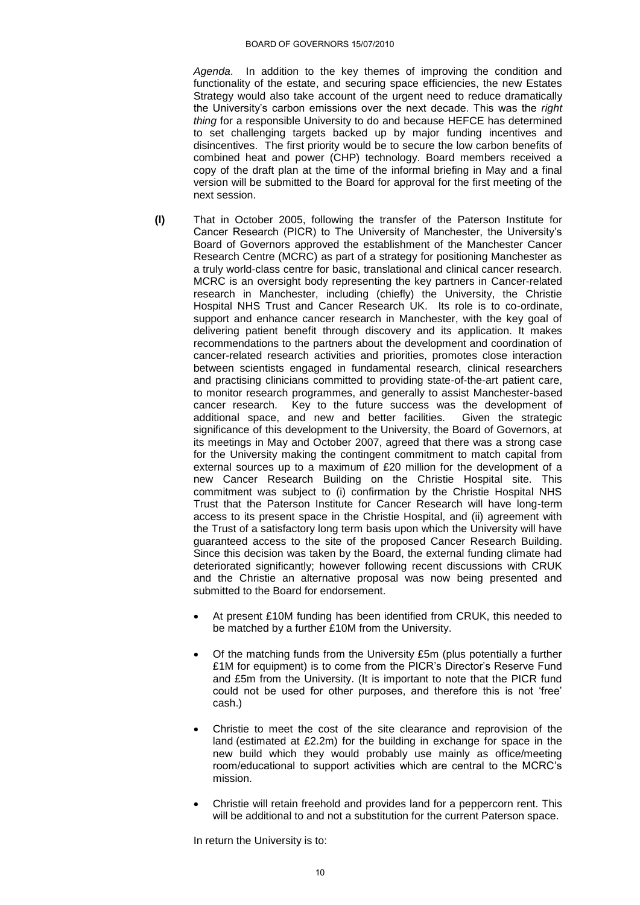*Agenda*.In addition to the key themes of improving the condition and functionality of the estate, and securing space efficiencies, the new Estates Strategy would also take account of the urgent need to reduce dramatically the University"s carbon emissions over the next decade. This was the *right thing* for a responsible University to do and because HEFCE has determined to set challenging targets backed up by major funding incentives and disincentives. The first priority would be to secure the low carbon benefits of combined heat and power (CHP) technology. Board members received a copy of the draft plan at the time of the informal briefing in May and a final version will be submitted to the Board for approval for the first meeting of the next session.

- **(l)** That in October 2005, following the transfer of the Paterson Institute for Cancer Research (PICR) to The University of Manchester, the University"s Board of Governors approved the establishment of the Manchester Cancer Research Centre (MCRC) as part of a strategy for positioning Manchester as a truly world-class centre for basic, translational and clinical cancer research. MCRC is an oversight body representing the key partners in Cancer-related research in Manchester, including (chiefly) the University, the Christie Hospital NHS Trust and Cancer Research UK. Its role is to co-ordinate, support and enhance cancer research in Manchester, with the key goal of delivering patient benefit through discovery and its application. It makes recommendations to the partners about the development and coordination of cancer-related research activities and priorities, promotes close interaction between scientists engaged in fundamental research, clinical researchers and practising clinicians committed to providing state-of-the-art patient care, to monitor research programmes, and generally to assist Manchester-based cancer research. Key to the future success was the development of additional space, and new and better facilities. Given the strategic additional space, and new and better facilities. significance of this development to the University, the Board of Governors, at its meetings in May and October 2007, agreed that there was a strong case for the University making the contingent commitment to match capital from external sources up to a maximum of £20 million for the development of a new Cancer Research Building on the Christie Hospital site. This commitment was subject to (i) confirmation by the Christie Hospital NHS Trust that the Paterson Institute for Cancer Research will have long-term access to its present space in the Christie Hospital, and (ii) agreement with the Trust of a satisfactory long term basis upon which the University will have guaranteed access to the site of the proposed Cancer Research Building. Since this decision was taken by the Board, the external funding climate had deteriorated significantly; however following recent discussions with CRUK and the Christie an alternative proposal was now being presented and submitted to the Board for endorsement.
	- At present £10M funding has been identified from CRUK, this needed to be matched by a further £10M from the University.
	- Of the matching funds from the University £5m (plus potentially a further £1M for equipment) is to come from the PICR's Director's Reserve Fund and £5m from the University. (It is important to note that the PICR fund could not be used for other purposes, and therefore this is not "free" cash.)
	- Christie to meet the cost of the site clearance and reprovision of the land (estimated at £2.2m) for the building in exchange for space in the new build which they would probably use mainly as office/meeting room/educational to support activities which are central to the MCRC"s mission.
	- Christie will retain freehold and provides land for a peppercorn rent. This will be additional to and not a substitution for the current Paterson space.

In return the University is to: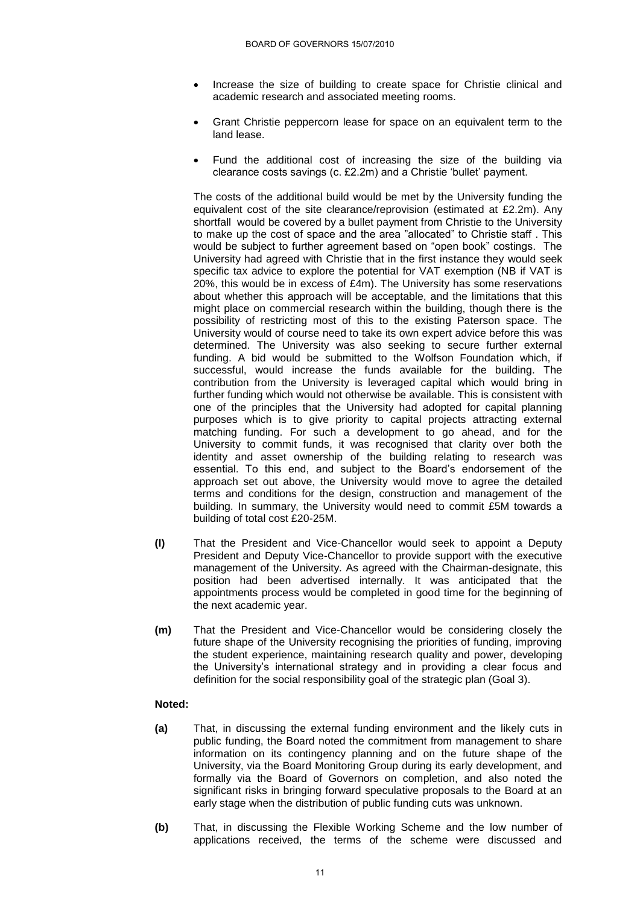- Increase the size of building to create space for Christie clinical and academic research and associated meeting rooms.
- Grant Christie peppercorn lease for space on an equivalent term to the land lease.
- Fund the additional cost of increasing the size of the building via clearance costs savings (c. £2.2m) and a Christie "bullet" payment.

The costs of the additional build would be met by the University funding the equivalent cost of the site clearance/reprovision (estimated at £2.2m). Any shortfall would be covered by a bullet payment from Christie to the University to make up the cost of space and the area "allocated" to Christie staff . This would be subject to further agreement based on "open book" costings. The University had agreed with Christie that in the first instance they would seek specific tax advice to explore the potential for VAT exemption (NB if VAT is 20%, this would be in excess of £4m). The University has some reservations about whether this approach will be acceptable, and the limitations that this might place on commercial research within the building, though there is the possibility of restricting most of this to the existing Paterson space. The University would of course need to take its own expert advice before this was determined. The University was also seeking to secure further external funding. A bid would be submitted to the Wolfson Foundation which, if successful, would increase the funds available for the building. The contribution from the University is leveraged capital which would bring in further funding which would not otherwise be available. This is consistent with one of the principles that the University had adopted for capital planning purposes which is to give priority to capital projects attracting external matching funding. For such a development to go ahead, and for the University to commit funds, it was recognised that clarity over both the identity and asset ownership of the building relating to research was essential. To this end, and subject to the Board"s endorsement of the approach set out above, the University would move to agree the detailed terms and conditions for the design, construction and management of the building. In summary, the University would need to commit £5M towards a building of total cost £20-25M.

- **(l)** That the President and Vice-Chancellor would seek to appoint a Deputy President and Deputy Vice-Chancellor to provide support with the executive management of the University. As agreed with the Chairman-designate, this position had been advertised internally. It was anticipated that the appointments process would be completed in good time for the beginning of the next academic year.
- **(m)** That the President and Vice-Chancellor would be considering closely the future shape of the University recognising the priorities of funding, improving the student experience, maintaining research quality and power, developing the University"s international strategy and in providing a clear focus and definition for the social responsibility goal of the strategic plan (Goal 3).

- **(a)** That, in discussing the external funding environment and the likely cuts in public funding, the Board noted the commitment from management to share information on its contingency planning and on the future shape of the University, via the Board Monitoring Group during its early development, and formally via the Board of Governors on completion, and also noted the significant risks in bringing forward speculative proposals to the Board at an early stage when the distribution of public funding cuts was unknown.
- **(b)** That, in discussing the Flexible Working Scheme and the low number of applications received, the terms of the scheme were discussed and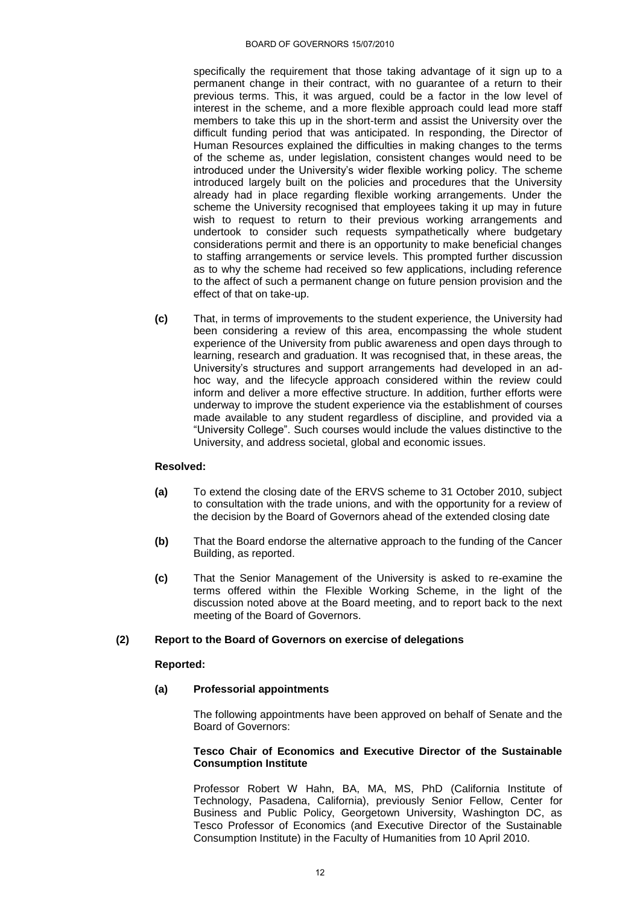#### BOARD OF GOVERNORS 15/07/2010

specifically the requirement that those taking advantage of it sign up to a permanent change in their contract, with no guarantee of a return to their previous terms. This, it was argued, could be a factor in the low level of interest in the scheme, and a more flexible approach could lead more staff members to take this up in the short-term and assist the University over the difficult funding period that was anticipated. In responding, the Director of Human Resources explained the difficulties in making changes to the terms of the scheme as, under legislation, consistent changes would need to be introduced under the University's wider flexible working policy. The scheme introduced largely built on the policies and procedures that the University already had in place regarding flexible working arrangements. Under the scheme the University recognised that employees taking it up may in future wish to request to return to their previous working arrangements and undertook to consider such requests sympathetically where budgetary considerations permit and there is an opportunity to make beneficial changes to staffing arrangements or service levels. This prompted further discussion as to why the scheme had received so few applications, including reference to the affect of such a permanent change on future pension provision and the effect of that on take-up.

**(c)** That, in terms of improvements to the student experience, the University had been considering a review of this area, encompassing the whole student experience of the University from public awareness and open days through to learning, research and graduation. It was recognised that, in these areas, the University"s structures and support arrangements had developed in an adhoc way, and the lifecycle approach considered within the review could inform and deliver a more effective structure. In addition, further efforts were underway to improve the student experience via the establishment of courses made available to any student regardless of discipline, and provided via a "University College". Such courses would include the values distinctive to the University, and address societal, global and economic issues.

#### **Resolved:**

- **(a)** To extend the closing date of the ERVS scheme to 31 October 2010, subject to consultation with the trade unions, and with the opportunity for a review of the decision by the Board of Governors ahead of the extended closing date
- **(b)** That the Board endorse the alternative approach to the funding of the Cancer Building, as reported.
- **(c)** That the Senior Management of the University is asked to re-examine the terms offered within the Flexible Working Scheme, in the light of the discussion noted above at the Board meeting, and to report back to the next meeting of the Board of Governors.

## **(2) Report to the Board of Governors on exercise of delegations**

#### **Reported:**

## **(a) Professorial appointments**

The following appointments have been approved on behalf of Senate and the Board of Governors:

#### **Tesco Chair of Economics and Executive Director of the Sustainable Consumption Institute**

Professor Robert W Hahn, BA, MA, MS, PhD (California Institute of Technology, Pasadena, California), previously Senior Fellow, Center for Business and Public Policy, Georgetown University, Washington DC, as Tesco Professor of Economics (and Executive Director of the Sustainable Consumption Institute) in the Faculty of Humanities from 10 April 2010.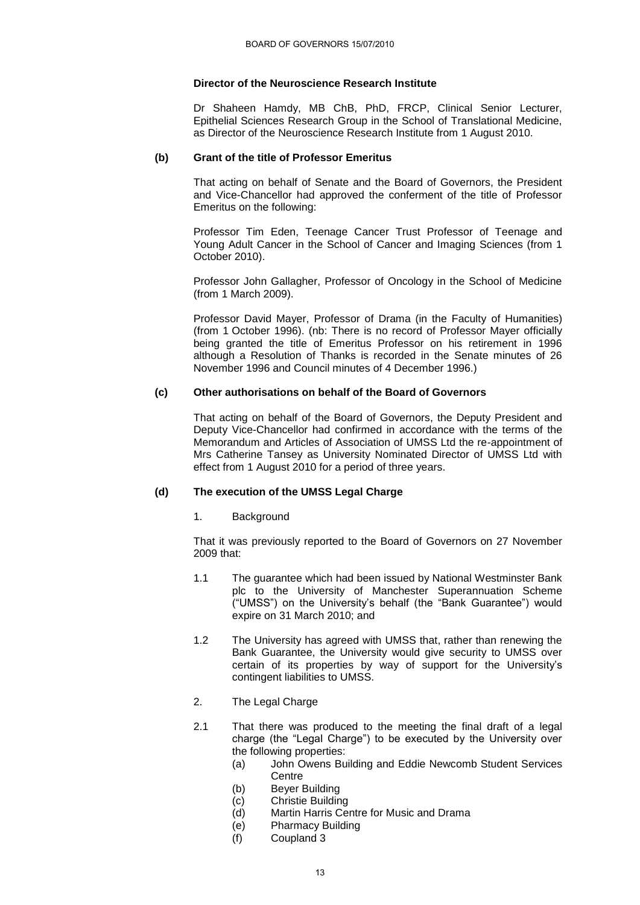## **Director of the Neuroscience Research Institute**

Dr Shaheen Hamdy, MB ChB, PhD, FRCP, Clinical Senior Lecturer, Epithelial Sciences Research Group in the School of Translational Medicine, as Director of the Neuroscience Research Institute from 1 August 2010.

## **(b) Grant of the title of Professor Emeritus**

That acting on behalf of Senate and the Board of Governors, the President and Vice-Chancellor had approved the conferment of the title of Professor Emeritus on the following:

Professor Tim Eden, Teenage Cancer Trust Professor of Teenage and Young Adult Cancer in the School of Cancer and Imaging Sciences (from 1 October 2010).

Professor John Gallagher, Professor of Oncology in the School of Medicine (from 1 March 2009).

Professor David Mayer, Professor of Drama (in the Faculty of Humanities) (from 1 October 1996). (nb: There is no record of Professor Mayer officially being granted the title of Emeritus Professor on his retirement in 1996 although a Resolution of Thanks is recorded in the Senate minutes of 26 November 1996 and Council minutes of 4 December 1996.)

## **(c) Other authorisations on behalf of the Board of Governors**

That acting on behalf of the Board of Governors, the Deputy President and Deputy Vice-Chancellor had confirmed in accordance with the terms of the Memorandum and Articles of Association of UMSS Ltd the re-appointment of Mrs Catherine Tansey as University Nominated Director of UMSS Ltd with effect from 1 August 2010 for a period of three years.

#### **(d) The execution of the UMSS Legal Charge**

#### 1. Background

That it was previously reported to the Board of Governors on 27 November 2009 that:

- 1.1 The guarantee which had been issued by National Westminster Bank plc to the University of Manchester Superannuation Scheme ("UMSS") on the University"s behalf (the "Bank Guarantee") would expire on 31 March 2010; and
- 1.2 The University has agreed with UMSS that, rather than renewing the Bank Guarantee, the University would give security to UMSS over certain of its properties by way of support for the University"s contingent liabilities to UMSS.
- 2. The Legal Charge
- 2.1 That there was produced to the meeting the final draft of a legal charge (the "Legal Charge") to be executed by the University over the following properties:
	- (a) John Owens Building and Eddie Newcomb Student Services **Centre**
	- (b) Beyer Building
	- (c) Christie Building
	- (d) Martin Harris Centre for Music and Drama
	- (e) Pharmacy Building
	- (f) Coupland 3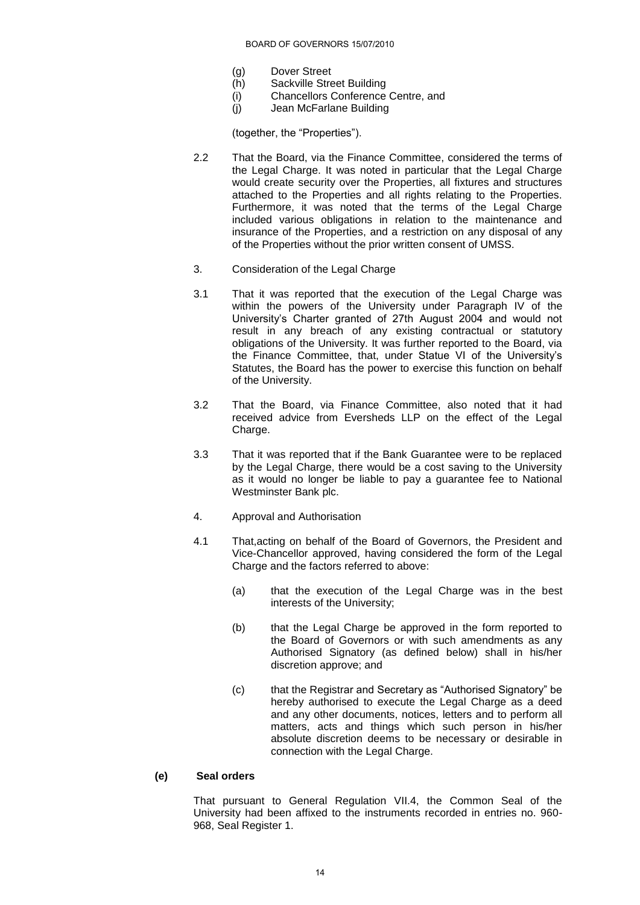- (g) Dover Street
- (h) Sackville Street Building
- (i) Chancellors Conference Centre, and
- (j) Jean McFarlane Building

(together, the "Properties").

- 2.2 That the Board, via the Finance Committee, considered the terms of the Legal Charge. It was noted in particular that the Legal Charge would create security over the Properties, all fixtures and structures attached to the Properties and all rights relating to the Properties. Furthermore, it was noted that the terms of the Legal Charge included various obligations in relation to the maintenance and insurance of the Properties, and a restriction on any disposal of any of the Properties without the prior written consent of UMSS.
- 3. Consideration of the Legal Charge
- 3.1 That it was reported that the execution of the Legal Charge was within the powers of the University under Paragraph IV of the University's Charter granted of 27th August 2004 and would not result in any breach of any existing contractual or statutory obligations of the University. It was further reported to the Board, via the Finance Committee, that, under Statue VI of the University"s Statutes, the Board has the power to exercise this function on behalf of the University.
- 3.2 That the Board, via Finance Committee, also noted that it had received advice from Eversheds LLP on the effect of the Legal Charge.
- 3.3 That it was reported that if the Bank Guarantee were to be replaced by the Legal Charge, there would be a cost saving to the University as it would no longer be liable to pay a guarantee fee to National Westminster Bank plc.
- 4. Approval and Authorisation
- 4.1 That,acting on behalf of the Board of Governors, the President and Vice-Chancellor approved, having considered the form of the Legal Charge and the factors referred to above:
	- (a) that the execution of the Legal Charge was in the best interests of the University;
	- (b) that the Legal Charge be approved in the form reported to the Board of Governors or with such amendments as any Authorised Signatory (as defined below) shall in his/her discretion approve; and
	- (c) that the Registrar and Secretary as "Authorised Signatory" be hereby authorised to execute the Legal Charge as a deed and any other documents, notices, letters and to perform all matters, acts and things which such person in his/her absolute discretion deems to be necessary or desirable in connection with the Legal Charge.

## **(e) Seal orders**

That pursuant to General Regulation VII.4, the Common Seal of the University had been affixed to the instruments recorded in entries no. 960- 968, Seal Register 1.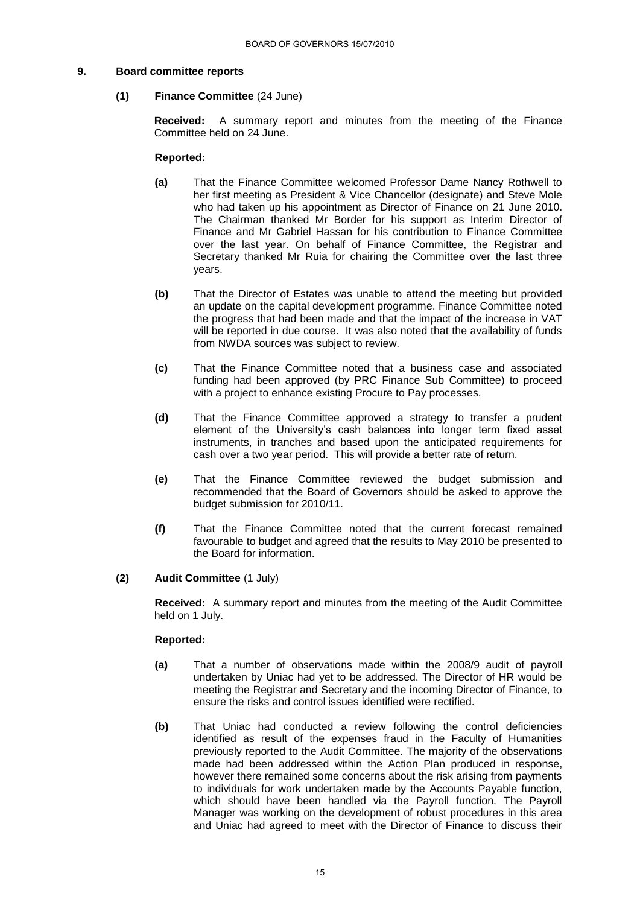#### **9. Board committee reports**

#### **(1) Finance Committee** (24 June)

**Received:** A summary report and minutes from the meeting of the Finance Committee held on 24 June.

#### **Reported:**

- **(a)** That the Finance Committee welcomed Professor Dame Nancy Rothwell to her first meeting as President & Vice Chancellor (designate) and Steve Mole who had taken up his appointment as Director of Finance on 21 June 2010. The Chairman thanked Mr Border for his support as Interim Director of Finance and Mr Gabriel Hassan for his contribution to Finance Committee over the last year. On behalf of Finance Committee, the Registrar and Secretary thanked Mr Ruia for chairing the Committee over the last three years.
- **(b)** That the Director of Estates was unable to attend the meeting but provided an update on the capital development programme. Finance Committee noted the progress that had been made and that the impact of the increase in VAT will be reported in due course. It was also noted that the availability of funds from NWDA sources was subject to review.
- **(c)** That the Finance Committee noted that a business case and associated funding had been approved (by PRC Finance Sub Committee) to proceed with a project to enhance existing Procure to Pay processes.
- **(d)** That the Finance Committee approved a strategy to transfer a prudent element of the University"s cash balances into longer term fixed asset instruments, in tranches and based upon the anticipated requirements for cash over a two year period. This will provide a better rate of return.
- **(e)** That the Finance Committee reviewed the budget submission and recommended that the Board of Governors should be asked to approve the budget submission for 2010/11.
- **(f)** That the Finance Committee noted that the current forecast remained favourable to budget and agreed that the results to May 2010 be presented to the Board for information.

#### **(2) Audit Committee** (1 July)

**Received:** A summary report and minutes from the meeting of the Audit Committee held on 1 July.

- **(a)** That a number of observations made within the 2008/9 audit of payroll undertaken by Uniac had yet to be addressed. The Director of HR would be meeting the Registrar and Secretary and the incoming Director of Finance, to ensure the risks and control issues identified were rectified.
- **(b)** That Uniac had conducted a review following the control deficiencies identified as result of the expenses fraud in the Faculty of Humanities previously reported to the Audit Committee. The majority of the observations made had been addressed within the Action Plan produced in response, however there remained some concerns about the risk arising from payments to individuals for work undertaken made by the Accounts Payable function, which should have been handled via the Payroll function. The Payroll Manager was working on the development of robust procedures in this area and Uniac had agreed to meet with the Director of Finance to discuss their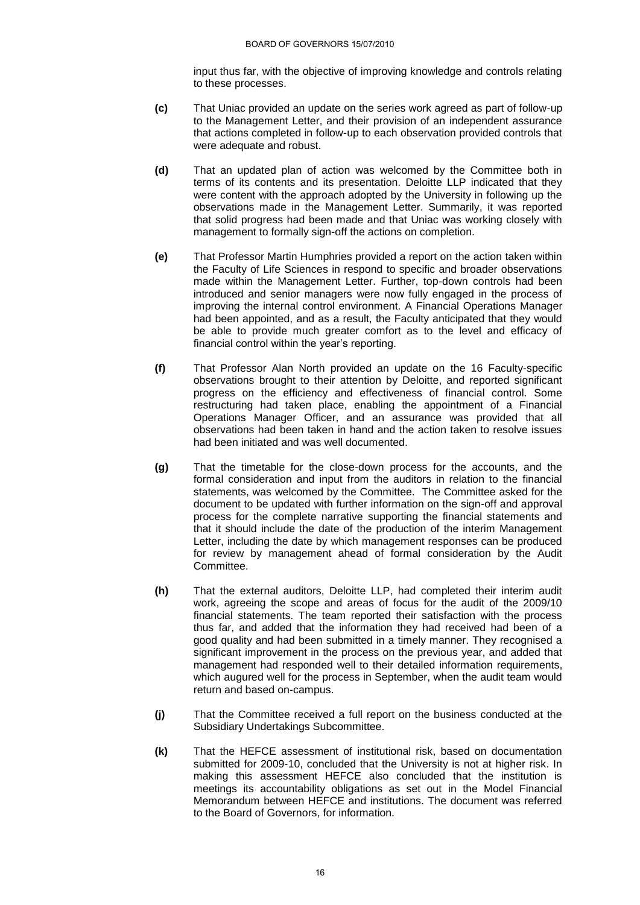input thus far, with the objective of improving knowledge and controls relating to these processes.

- **(c)** That Uniac provided an update on the series work agreed as part of follow-up to the Management Letter, and their provision of an independent assurance that actions completed in follow-up to each observation provided controls that were adequate and robust.
- **(d)** That an updated plan of action was welcomed by the Committee both in terms of its contents and its presentation. Deloitte LLP indicated that they were content with the approach adopted by the University in following up the observations made in the Management Letter. Summarily, it was reported that solid progress had been made and that Uniac was working closely with management to formally sign-off the actions on completion.
- **(e)** That Professor Martin Humphries provided a report on the action taken within the Faculty of Life Sciences in respond to specific and broader observations made within the Management Letter. Further, top-down controls had been introduced and senior managers were now fully engaged in the process of improving the internal control environment. A Financial Operations Manager had been appointed, and as a result, the Faculty anticipated that they would be able to provide much greater comfort as to the level and efficacy of financial control within the year's reporting.
- **(f)** That Professor Alan North provided an update on the 16 Faculty-specific observations brought to their attention by Deloitte, and reported significant progress on the efficiency and effectiveness of financial control. Some restructuring had taken place, enabling the appointment of a Financial Operations Manager Officer, and an assurance was provided that all observations had been taken in hand and the action taken to resolve issues had been initiated and was well documented.
- **(g)** That the timetable for the close-down process for the accounts, and the formal consideration and input from the auditors in relation to the financial statements, was welcomed by the Committee. The Committee asked for the document to be updated with further information on the sign-off and approval process for the complete narrative supporting the financial statements and that it should include the date of the production of the interim Management Letter, including the date by which management responses can be produced for review by management ahead of formal consideration by the Audit Committee.
- **(h)** That the external auditors, Deloitte LLP, had completed their interim audit work, agreeing the scope and areas of focus for the audit of the 2009/10 financial statements. The team reported their satisfaction with the process thus far, and added that the information they had received had been of a good quality and had been submitted in a timely manner. They recognised a significant improvement in the process on the previous year, and added that management had responded well to their detailed information requirements, which augured well for the process in September, when the audit team would return and based on-campus.
- **(j)** That the Committee received a full report on the business conducted at the Subsidiary Undertakings Subcommittee.
- **(k)** That the HEFCE assessment of institutional risk, based on documentation submitted for 2009-10, concluded that the University is not at higher risk. In making this assessment HEFCE also concluded that the institution is meetings its accountability obligations as set out in the Model Financial Memorandum between HEFCE and institutions. The document was referred to the Board of Governors, for information.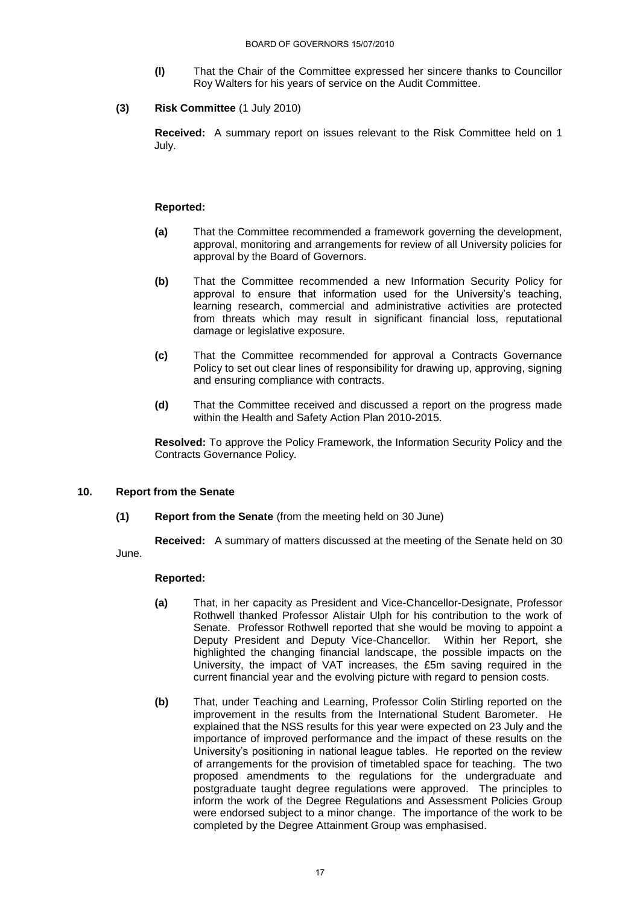- **(l)** That the Chair of the Committee expressed her sincere thanks to Councillor Roy Walters for his years of service on the Audit Committee.
- **(3) Risk Committee** (1 July 2010)

**Received:** A summary report on issues relevant to the Risk Committee held on 1 July.

## **Reported:**

- **(a)** That the Committee recommended a framework governing the development, approval, monitoring and arrangements for review of all University policies for approval by the Board of Governors.
- **(b)** That the Committee recommended a new Information Security Policy for approval to ensure that information used for the University's teaching, learning research, commercial and administrative activities are protected from threats which may result in significant financial loss, reputational damage or legislative exposure.
- **(c)** That the Committee recommended for approval a Contracts Governance Policy to set out clear lines of responsibility for drawing up, approving, signing and ensuring compliance with contracts.
- **(d)** That the Committee received and discussed a report on the progress made within the Health and Safety Action Plan 2010-2015.

**Resolved:** To approve the Policy Framework, the Information Security Policy and the Contracts Governance Policy.

## **10. Report from the Senate**

**(1) Report from the Senate** (from the meeting held on 30 June)

**Received:** A summary of matters discussed at the meeting of the Senate held on 30 June.

- **(a)** That, in her capacity as President and Vice-Chancellor-Designate, Professor Rothwell thanked Professor Alistair Ulph for his contribution to the work of Senate. Professor Rothwell reported that she would be moving to appoint a Deputy President and Deputy Vice-Chancellor. Within her Report, she highlighted the changing financial landscape, the possible impacts on the University, the impact of VAT increases, the £5m saving required in the current financial year and the evolving picture with regard to pension costs.
- **(b)** That, under Teaching and Learning, Professor Colin Stirling reported on the improvement in the results from the International Student Barometer. He explained that the NSS results for this year were expected on 23 July and the importance of improved performance and the impact of these results on the University"s positioning in national league tables. He reported on the review of arrangements for the provision of timetabled space for teaching. The two proposed amendments to the regulations for the undergraduate and postgraduate taught degree regulations were approved. The principles to inform the work of the Degree Regulations and Assessment Policies Group were endorsed subject to a minor change. The importance of the work to be completed by the Degree Attainment Group was emphasised.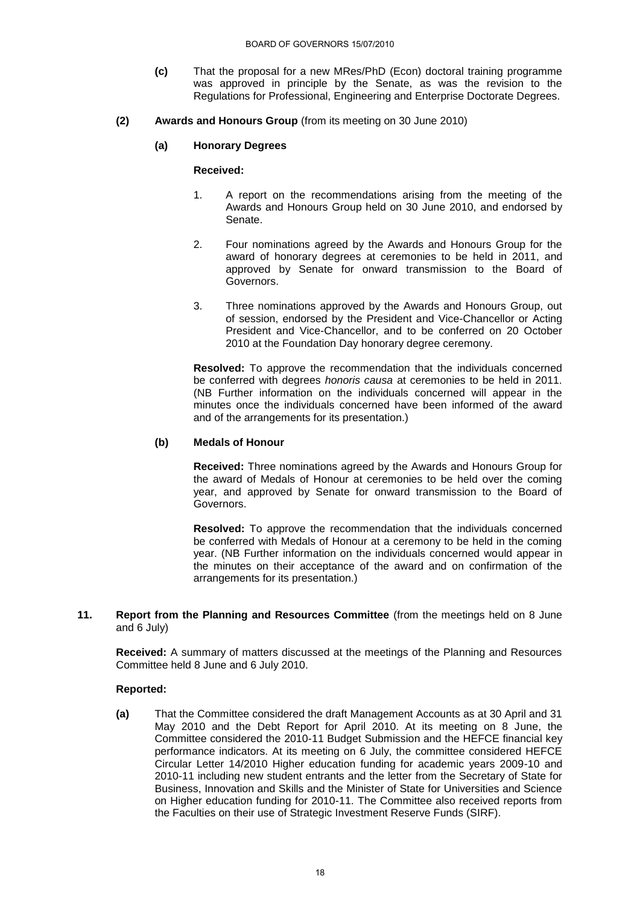- **(c)** That the proposal for a new MRes/PhD (Econ) doctoral training programme was approved in principle by the Senate, as was the revision to the Regulations for Professional, Engineering and Enterprise Doctorate Degrees.
- **(2) Awards and Honours Group** (from its meeting on 30 June 2010)

## **(a) Honorary Degrees**

**Received:** 

- 1. A report on the recommendations arising from the meeting of the Awards and Honours Group held on 30 June 2010, and endorsed by Senate.
- 2. Four nominations agreed by the Awards and Honours Group for the award of honorary degrees at ceremonies to be held in 2011, and approved by Senate for onward transmission to the Board of Governors.
- 3. Three nominations approved by the Awards and Honours Group, out of session, endorsed by the President and Vice-Chancellor or Acting President and Vice-Chancellor, and to be conferred on 20 October 2010 at the Foundation Day honorary degree ceremony.

**Resolved:** To approve the recommendation that the individuals concerned be conferred with degrees *honoris causa* at ceremonies to be held in 2011. (NB Further information on the individuals concerned will appear in the minutes once the individuals concerned have been informed of the award and of the arrangements for its presentation.)

## **(b) Medals of Honour**

**Received:** Three nominations agreed by the Awards and Honours Group for the award of Medals of Honour at ceremonies to be held over the coming year, and approved by Senate for onward transmission to the Board of Governors.

**Resolved:** To approve the recommendation that the individuals concerned be conferred with Medals of Honour at a ceremony to be held in the coming year. (NB Further information on the individuals concerned would appear in the minutes on their acceptance of the award and on confirmation of the arrangements for its presentation.)

**11. Report from the Planning and Resources Committee** (from the meetings held on 8 June and 6 July)

**Received:** A summary of matters discussed at the meetings of the Planning and Resources Committee held 8 June and 6 July 2010.

#### **Reported:**

**(a)** That the Committee considered the draft Management Accounts as at 30 April and 31 May 2010 and the Debt Report for April 2010. At its meeting on 8 June, the Committee considered the 2010-11 Budget Submission and the HEFCE financial key performance indicators. At its meeting on 6 July, the committee considered HEFCE Circular Letter 14/2010 Higher education funding for academic years 2009-10 and 2010-11 including new student entrants and the letter from the Secretary of State for Business, Innovation and Skills and the Minister of State for Universities and Science on Higher education funding for 2010-11. The Committee also received reports from the Faculties on their use of Strategic Investment Reserve Funds (SIRF).